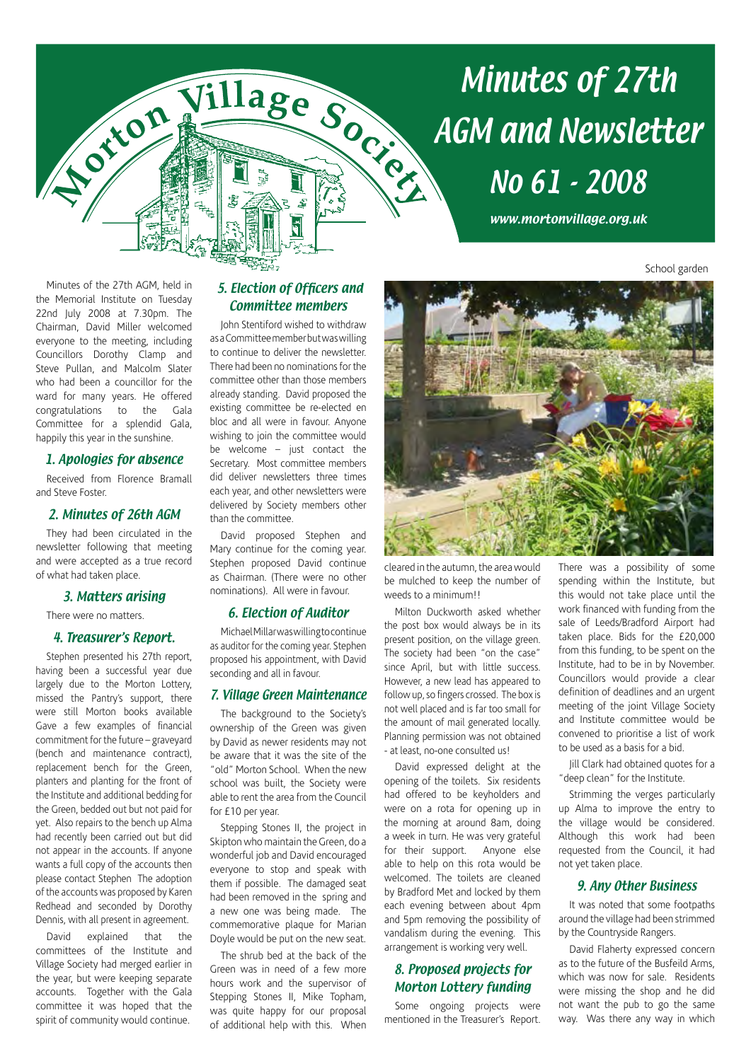

# Minutes of 27th No 61 - 2008

www.mortonvillage.org.uk

School garden

Minutes of the 27th AGM, held in the Memorial Institute on Tuesday 22nd July 2008 at 7.30pm. The Chairman, David Miller welcomed everyone to the meeting, including Councillors Dorothy Clamp and Steve Pullan, and Malcolm Slater who had been a councillor for the ward for many years. He offered congratulations to the Gala Committee for a splendid Gala, happily this year in the sunshine.

# 1. Apologies for absence

Received from Florence Bramall and Steve Foster.

# 2. Minutes of 26th AGM

They had been circulated in the newsletter following that meeting and were accepted as a true record of what had taken place.

## 3. Matters arising

There were no matters.

## 4. Treasurer's Report.

Stephen presented his 27th report, having been a successful year due largely due to the Morton Lottery, missed the Pantry's support, there were still Morton books available Gave a few examples of financial commitment for the future – graveyard (bench and maintenance contract), replacement bench for the Green, planters and planting for the front of the Institute and additional bedding for the Green, bedded out but not paid for yet. Also repairs to the bench up Alma had recently been carried out but did not appear in the accounts. If anyone wants a full copy of the accounts then please contact Stephen The adoption of the accounts was proposed by Karen Redhead and seconded by Dorothy Dennis, with all present in agreement.

David explained that the committees of the Institute and Village Society had merged earlier in the year, but were keeping separate accounts. Together with the Gala committee it was hoped that the spirit of community would continue.

# 5. Election of Officers and Committee members

John Stentiford wished to withdraw as a Committee member but was willing to continue to deliver the newsletter. There had been no nominations for the committee other than those members already standing. David proposed the existing committee be re-elected en bloc and all were in favour. Anyone wishing to join the committee would be welcome – just contact the Secretary. Most committee members did deliver newsletters three times each year, and other newsletters were delivered by Society members other than the committee.

David proposed Stephen and Mary continue for the coming year. Stephen proposed David continue as Chairman. (There were no other nominations). All were in favour.

# 6. Election of Auditor

Michael Millar was willing to continue as auditor for the coming year. Stephen proposed his appointment, with David seconding and all in favour.

## 7. Village Green Maintenance

The background to the Society's ownership of the Green was given by David as newer residents may not be aware that it was the site of the "old" Morton School. When the new school was built, the Society were able to rent the area from the Council for £10 per year.

Stepping Stones II, the project in Skipton who maintain the Green, do a wonderful job and David encouraged everyone to stop and speak with them if possible. The damaged seat had been removed in the spring and a new one was being made. The commemorative plaque for Marian Doyle would be put on the new seat.

The shrub bed at the back of the Green was in need of a few more hours work and the supervisor of Stepping Stones II, Mike Topham, was quite happy for our proposal of additional help with this. When



cleared in the autumn, the area would be mulched to keep the number of weeds to a minimum!!

Milton Duckworth asked whether the post box would always be in its present position, on the village green. The society had been "on the case" since April, but with little success. However, a new lead has appeared to follow up, so fingers crossed. The box is not well placed and is far too small for the amount of mail generated locally. Planning permission was not obtained - at least, no-one consulted us!

David expressed delight at the opening of the toilets. Six residents had offered to be keyholders and were on a rota for opening up in the morning at around 8am, doing a week in turn. He was very grateful for their support. Anyone else able to help on this rota would be welcomed. The toilets are cleaned by Bradford Met and locked by them each evening between about 4pm and 5pm removing the possibility of vandalism during the evening. This arrangement is working very well.

# 8. Proposed projects for Morton Lottery funding

Some ongoing projects were mentioned in the Treasurer's Report.

There was a possibility of some spending within the Institute, but this would not take place until the work financed with funding from the sale of Leeds/Bradford Airport had taken place. Bids for the £20,000 from this funding, to be spent on the Institute, had to be in by November. Councillors would provide a clear definition of deadlines and an urgent meeting of the joint Village Society and Institute committee would be convened to prioritise a list of work to be used as a basis for a bid.

Jill Clark had obtained quotes for a "deep clean" for the Institute.

Strimming the verges particularly up Alma to improve the entry to the village would be considered. Although this work had been requested from the Council, it had not yet taken place.

# 9. Any Other Business

It was noted that some footpaths around the village had been strimmed by the Countryside Rangers.

David Flaherty expressed concern as to the future of the Busfeild Arms, which was now for sale. Residents were missing the shop and he did not want the pub to go the same way. Was there any way in which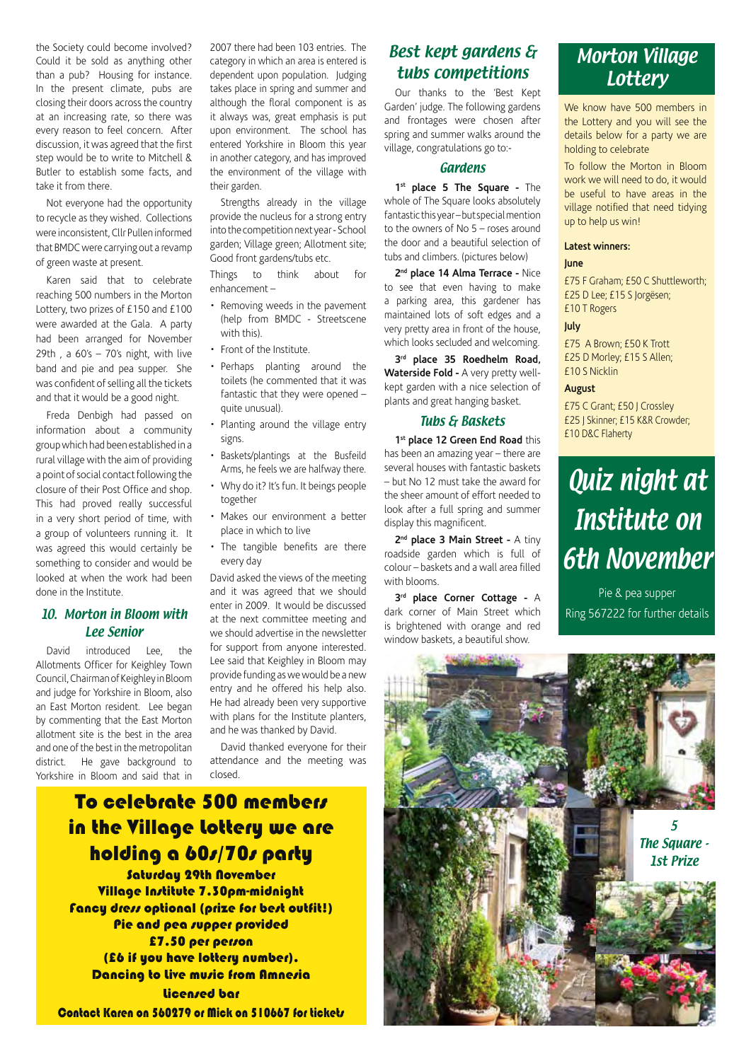the Society could become involved? Could it be sold as anything other than a pub? Housing for instance. In the present climate, pubs are closing their doors across the country at an increasing rate, so there was every reason to feel concern. After discussion, it was agreed that the first step would be to write to Mitchell & Butler to establish some facts, and take it from there.

Not everyone had the opportunity to recycle as they wished. Collections were inconsistent, Cllr Pullen informed that BMDC were carrying out a revamp of green waste at present.

Karen said that to celebrate reaching 500 numbers in the Morton Lottery, two prizes of £150 and £100 were awarded at the Gala. A party had been arranged for November 29th , a 60's – 70's night, with live band and pie and pea supper. She was confident of selling all the tickets and that it would be a good night.

Freda Denbigh had passed on information about a community group which had been established in a rural village with the aim of providing a point of social contact following the closure of their Post Office and shop. This had proved really successful in a very short period of time, with a group of volunteers running it. It was agreed this would certainly be something to consider and would be looked at when the work had been done in the Institute.

# 10. Morton in Bloom with Lee Senior

David introduced Lee, the Allotments Officer for Keighley Town Council, Chairman of Keighley in Bloom and judge for Yorkshire in Bloom, also an East Morton resident. Lee began by commenting that the East Morton allotment site is the best in the area and one of the best in the metropolitan district. He gave background to Yorkshire in Bloom and said that in 2007 there had been 103 entries. The category in which an area is entered is dependent upon population. Judging takes place in spring and summer and although the floral component is as it always was, great emphasis is put upon environment. The school has entered Yorkshire in Bloom this year in another category, and has improved the environment of the village with their garden.

Strengths already in the village provide the nucleus for a strong entry into the competition next year - School garden; Village green; Allotment site; Good front gardens/tubs etc.

Things to think about for enhancement –

- Removing weeds in the pavement (help from BMDC - Streetscene with this).
- Front of the Institute.
- Perhaps planting around the toilets (he commented that it was fantastic that they were opened – quite unusual).
- Planting around the village entry signs.
- Baskets/plantings at the Busfeild Arms, he feels we are halfway there.
- Why do it? It's fun. It beings people together
- Makes our environment a better place in which to live
- The tangible benefits are there every day

David asked the views of the meeting and it was agreed that we should enter in 2009. It would be discussed at the next committee meeting and we should advertise in the newsletter for support from anyone interested. Lee said that Keighley in Bloom may provide funding as we would be a new entry and he offered his help also. He had already been very supportive with plans for the Institute planters, and he was thanked by David.

David thanked everyone for their attendance and the meeting was closed.

# To celebrate 500 members in the Village Lottery we are holding a 60s/70s party

Saturday 29th November Village Institute 7.30pm-midnight Fancy dress optional (prize for best outfit!) Pie and pea supper provided £7.50 per person (£6 if you have lottery number). Dancing to Live music from Amnesia Licensed bar Contact Karen on 560279 or Mick on 510667 for tickets

# Best kept gardens & tubs competitions

Our thanks to the 'Best Kept Garden' judge. The following gardens and frontages were chosen after spring and summer walks around the village, congratulations go to:-

#### Gardens

**1st place 5 The Square -** The whole of The Square looks absolutely fantastic this year – but special mention to the owners of No 5 – roses around the door and a beautiful selection of tubs and climbers. (pictures below)

**2nd place 14 Alma Terrace -** Nice to see that even having to make a parking area, this gardener has maintained lots of soft edges and a very pretty area in front of the house, which looks secluded and welcoming.

**3rd place 35 Roedhelm Road, Waterside Fold -** A very pretty wellkept garden with a nice selection of plants and great hanging basket.

# Tubs & Baskets

**1st place 12 Green End Road** this has been an amazing year – there are several houses with fantastic baskets – but No 12 must take the award for the sheer amount of effort needed to look after a full spring and summer display this magnificent.

2<sup>nd</sup> place 3 Main Street - A tiny roadside garden which is full of colour – baskets and a wall area filled with blooms.

**3rd place Corner Cottage -** A dark corner of Main Street which is brightened with orange and red window baskets, a beautiful show.

# Morton Village **Lottery**

We know have 500 members in the Lottery and you will see the details below for a party we are holding to celebrate

To follow the Morton in Bloom work we will need to do, it would be useful to have areas in the village notified that need tidying up to help us win!

#### **Latest winners:**

#### **June**

£75 F Graham; £50 C Shuttleworth; £25 D Lee; £15 S Jorgësen; £10 T Rogers

**July**

£75 A Brown; £50 K Trott £25 D Morley; £15 S Allen; £10 S Nicklin

### **August**

£75 C Grant; £50 J Crossley £25 J Skinner; £15 K&R Crowder; £10 D&C Flaherty

# Quiz night at Institute on 6th November

Pie & pea supper Ring 567222 for further details

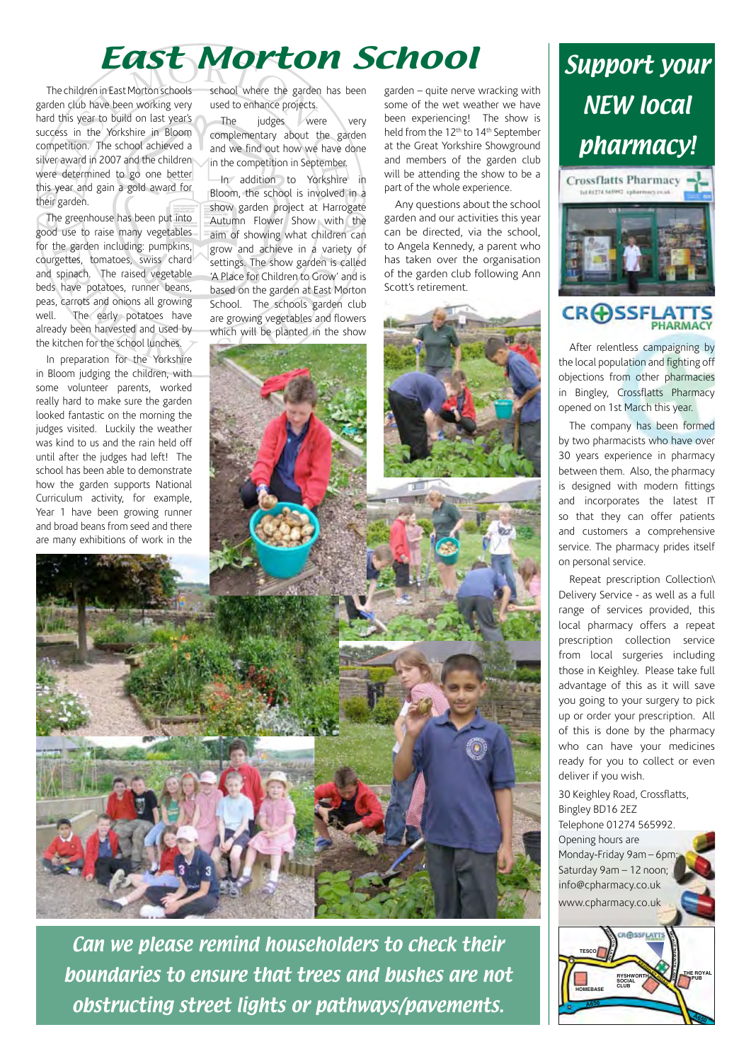# East Morton School

The children in East Morton schools garden club have been working very hard this year to build on last year's success in the Yorkshire in Bloom competition. The school achieved a silver award in 2007 and the children were determined to go one better this year and gain a gold award for their garden.

The greenhouse has been put into good use to raise many vegetables for the garden including: pumpkins, courgettes, tomatoes, swiss chard and spinach. The raised vegetable beds have potatoes, runner beans, peas, carrots and onions all growing well. The early potatoes have already been harvested and used by the kitchen for the school lunches.

In preparation for the Yorkshire in Bloom judging the children, with some volunteer parents, worked really hard to make sure the garden looked fantastic on the morning the judges visited. Luckily the weather was kind to us and the rain held off until after the judges had left! The school has been able to demonstrate how the garden supports National Curriculum activity, for example, Year 1 have been growing runner and broad beans from seed and there are many exhibitions of work in the school where the garden has been used to enhance projects.

The judges were very complementary about the garden and we find out how we have done in the competition in September.

In addition to Yorkshire in Bloom, the school is involved in a show garden project at Harrogate Autumn Flower Show with the aim of showing what children can grow and achieve in a variety of settings. The show garden is called 'A Place for Children to Grow' and is based on the garden at East Morton School. The schools garden club are growing vegetables and flowers which will be planted in the show

garden – quite nerve wracking with some of the wet weather we have been experiencing! The show is held from the 12<sup>th</sup> to 14<sup>th</sup> September at the Great Yorkshire Showground and members of the garden club will be attending the show to be a part of the whole experience.

Any questions about the school garden and our activities this year can be directed, via the school, to Angela Kennedy, a parent who has taken over the organisation of the garden club following Ann Scott's retirement.





# **CRASSFL**

After relentless campaigning by the local population and fighting off objections from other pharmacies in Bingley, Crossflatts Pharmacy opened on 1st March this year.

The company has been formed by two pharmacists who have over 30 years experience in pharmacy between them. Also, the pharmacy is designed with modern fittings and incorporates the latest IT so that they can offer patients and customers a comprehensive service. The pharmacy prides itself on personal service.

Repeat prescription Collection\ Delivery Service - as well as a full range of services provided, this local pharmacy offers a repeat prescription collection service from local surgeries including those in Keighley. Please take full advantage of this as it will save you going to your surgery to pick up or order your prescription. All of this is done by the pharmacy who can have your medicines ready for you to collect or even deliver if you wish.

30 Keighley Road, Crossflatts, Bingley BD16 2EZ Telephone 01274 565992. Opening hours are Monday-Friday 9am – 6pm; Saturday 9am – 12 noon; info@cpharmacy.co.uk www.cpharmacy.co.uk



Can we please remind householders to check their boundaries to ensure that trees and bushes are not obstructing street lights or pathways/pavements.